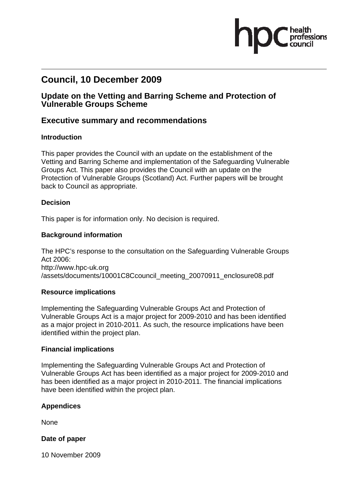# **Council, 10 December 2009**

## **Update on the Vetting and Barring Scheme and Protection of Vulnerable Groups Scheme**

## **Executive summary and recommendations**

### **Introduction**

This paper provides the Council with an update on the establishment of the Vetting and Barring Scheme and implementation of the Safeguarding Vulnerable Groups Act. This paper also provides the Council with an update on the Protection of Vulnerable Groups (Scotland) Act. Further papers will be brought back to Council as appropriate.

### **Decision**

This paper is for information only. No decision is required.

#### **Background information**

The HPC's response to the consultation on the Safeguarding Vulnerable Groups Act 2006: http://www.hpc-uk.org /assets/documents/10001C8Ccouncil\_meeting\_20070911\_enclosure08.pdf

### **Resource implications**

Implementing the Safeguarding Vulnerable Groups Act and Protection of Vulnerable Groups Act is a major project for 2009-2010 and has been identified as a major project in 2010-2011. As such, the resource implications have been identified within the project plan.

#### **Financial implications**

Implementing the Safeguarding Vulnerable Groups Act and Protection of Vulnerable Groups Act has been identified as a major project for 2009-2010 and has been identified as a major project in 2010-2011. The financial implications have been identified within the project plan.

### **Appendices**

None

**Date of paper**

10 November 2009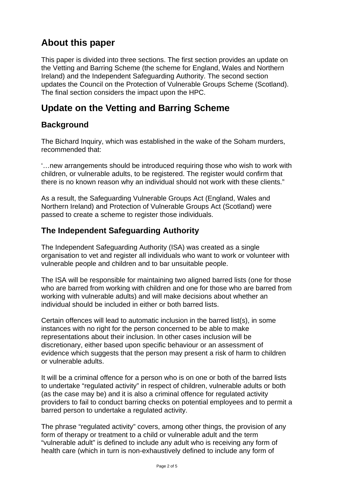# **About this paper**

This paper is divided into three sections. The first section provides an update on the Vetting and Barring Scheme (the scheme for England, Wales and Northern Ireland) and the Independent Safeguarding Authority. The second section updates the Council on the Protection of Vulnerable Groups Scheme (Scotland). The final section considers the impact upon the HPC.

# **Update on the Vetting and Barring Scheme**

## **Background**

The Bichard Inquiry, which was established in the wake of the Soham murders, recommended that:

'…new arrangements should be introduced requiring those who wish to work with children, or vulnerable adults, to be registered. The register would confirm that there is no known reason why an individual should not work with these clients."

As a result, the Safeguarding Vulnerable Groups Act (England, Wales and Northern Ireland) and Protection of Vulnerable Groups Act (Scotland) were passed to create a scheme to register those individuals.

## **The Independent Safeguarding Authority**

The Independent Safeguarding Authority (ISA) was created as a single organisation to vet and register all individuals who want to work or volunteer with vulnerable people and children and to bar unsuitable people.

The ISA will be responsible for maintaining two aligned barred lists (one for those who are barred from working with children and one for those who are barred from working with vulnerable adults) and will make decisions about whether an individual should be included in either or both barred lists.

Certain offences will lead to automatic inclusion in the barred list(s), in some instances with no right for the person concerned to be able to make representations about their inclusion. In other cases inclusion will be discretionary, either based upon specific behaviour or an assessment of evidence which suggests that the person may present a risk of harm to children or vulnerable adults.

It will be a criminal offence for a person who is on one or both of the barred lists to undertake "regulated activity" in respect of children, vulnerable adults or both (as the case may be) and it is also a criminal offence for regulated activity providers to fail to conduct barring checks on potential employees and to permit a barred person to undertake a regulated activity.

The phrase "regulated activity" covers, among other things, the provision of any form of therapy or treatment to a child or vulnerable adult and the term "vulnerable adult" is defined to include any adult who is receiving any form of health care (which in turn is non-exhaustively defined to include any form of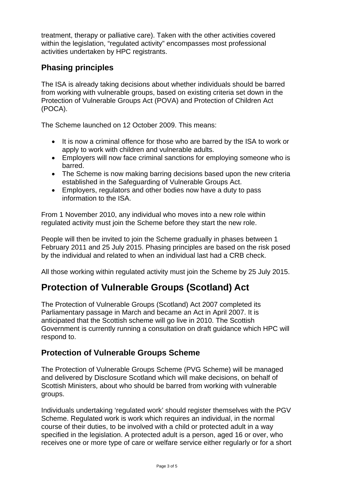treatment, therapy or palliative care). Taken with the other activities covered within the legislation, "regulated activity" encompasses most professional activities undertaken by HPC registrants.

# **Phasing principles**

The ISA is already taking decisions about whether individuals should be barred from working with vulnerable groups, based on existing criteria set down in the Protection of Vulnerable Groups Act (POVA) and Protection of Children Act (POCA).

The Scheme launched on 12 October 2009. This means:

- It is now a criminal offence for those who are barred by the ISA to work or apply to work with children and vulnerable adults.
- Employers will now face criminal sanctions for employing someone who is barred.
- The Scheme is now making barring decisions based upon the new criteria established in the Safeguarding of Vulnerable Groups Act.
- Employers, regulators and other bodies now have a duty to pass information to the ISA.

From 1 November 2010, any individual who moves into a new role within regulated activity must join the Scheme before they start the new role.

People will then be invited to join the Scheme gradually in phases between 1 February 2011 and 25 July 2015. Phasing principles are based on the risk posed by the individual and related to when an individual last had a CRB check.

All those working within regulated activity must join the Scheme by 25 July 2015.

# **Protection of Vulnerable Groups (Scotland) Act**

The Protection of Vulnerable Groups (Scotland) Act 2007 completed its Parliamentary passage in March and became an Act in April 2007. It is anticipated that the Scottish scheme will go live in 2010. The Scottish Government is currently running a consultation on draft guidance which HPC will respond to.

## **Protection of Vulnerable Groups Scheme**

The Protection of Vulnerable Groups Scheme (PVG Scheme) will be managed and delivered by Disclosure Scotland which will make decisions, on behalf of Scottish Ministers, about who should be barred from working with vulnerable groups.

Individuals undertaking 'regulated work' should register themselves with the PGV Scheme. Regulated work is work which requires an individual, in the normal course of their duties, to be involved with a child or protected adult in a way specified in the legislation. A protected adult is a person, aged 16 or over, who receives one or more type of care or welfare service either regularly or for a short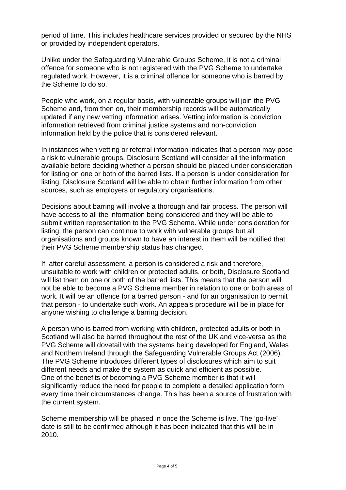period of time. This includes healthcare services provided or secured by the NHS or provided by independent operators.

Unlike under the Safeguarding Vulnerable Groups Scheme, it is not a criminal offence for someone who is not registered with the PVG Scheme to undertake regulated work. However, it is a criminal offence for someone who is barred by the Scheme to do so.

People who work, on a regular basis, with vulnerable groups will join the PVG Scheme and, from then on, their membership records will be automatically updated if any new vetting information arises. Vetting information is conviction information retrieved from criminal justice systems and non-conviction information held by the police that is considered relevant.

In instances when vetting or referral information indicates that a person may pose a risk to vulnerable groups, Disclosure Scotland will consider all the information available before deciding whether a person should be placed under consideration for listing on one or both of the barred lists. If a person is under consideration for listing, Disclosure Scotland will be able to obtain further information from other sources, such as employers or regulatory organisations.

Decisions about barring will involve a thorough and fair process. The person will have access to all the information being considered and they will be able to submit written representation to the PVG Scheme. While under consideration for listing, the person can continue to work with vulnerable groups but all organisations and groups known to have an interest in them will be notified that their PVG Scheme membership status has changed.

If, after careful assessment, a person is considered a risk and therefore, unsuitable to work with children or protected adults, or both, Disclosure Scotland will list them on one or both of the barred lists. This means that the person will not be able to become a PVG Scheme member in relation to one or both areas of work. It will be an offence for a barred person - and for an organisation to permit that person - to undertake such work. An appeals procedure will be in place for anyone wishing to challenge a barring decision.

A person who is barred from working with children, protected adults or both in Scotland will also be barred throughout the rest of the UK and vice-versa as the PVG Scheme will dovetail with the systems being developed for England, Wales and Northern Ireland through the Safeguarding Vulnerable Groups Act (2006). The PVG Scheme introduces different types of disclosures which aim to suit different needs and make the system as quick and efficient as possible. One of the benefits of becoming a PVG Scheme member is that it will significantly reduce the need for people to complete a detailed application form every time their circumstances change. This has been a source of frustration with the current system.

Scheme membership will be phased in once the Scheme is live. The 'go-live' date is still to be confirmed although it has been indicated that this will be in 2010.